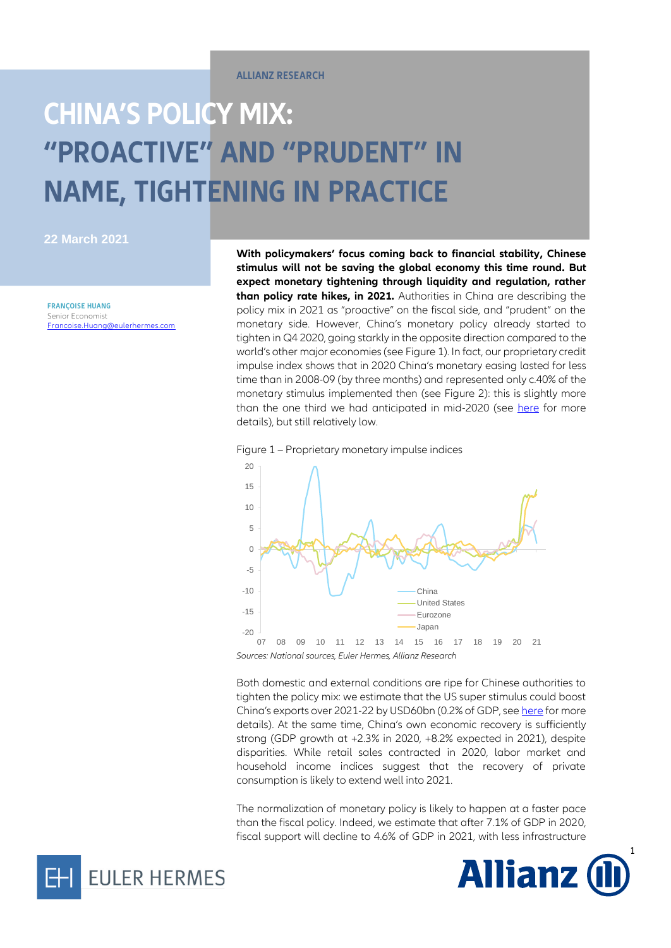**ALLIANZ RESEARCH**

## **CHINA'S POLICY MIX: "PROACTIVE" AND "PRUDENT" IN NAME, TIGHTENING IN PRACTICE**

**22 March 2021**

**FRANÇOISE HUANG** Senior Economis[t](mailto:Francoise.Huang@eulerhermes.com) [Francoise.Huang@eulerhermes.com](mailto:Francoise.Huang@eulerhermes.com) **With policymakers' focus coming back to financial stability, Chinese stimulus will not be saving the global economy this time round. But expect monetary tightening through liquidity and regulation, rather than policy rate hikes, in 2021.** Authorities in China are describing the policy mix in 2021 as "proactive" on the fiscal side, and "prudent" on the monetary side. However, China's monetary policy already started to tighten in Q4 2020, going starkly in the opposite direction compared to the world's other major economies (see Figure 1). In fact, our proprietary credit impulse index shows that in 2020 China's monetary easing lasted for less time than in 2008-09 (by three months) and represented only c.40% of the monetary stimulus implemented then (see Figure 2): this is slightly more than the one third we had anticipated in mid-2020 (see [here](https://www.eulerhermes.com/en_global/news-insights/economic-insights/chinese-banks-put-to-the-test-of-RMB8tn-of-covid19-problematic-loans.html) for more details), but still relatively low.





*Sources: National sources, Euler Hermes, Allianz Research*

Both domestic and external conditions are ripe for Chinese authorities to tighten the policy mix: we estimate that the US super stimulus could boost China's exports over 2021-22 by USD60bn (0.2% of GDP, se[e here](https://www.eulerhermes.com/en_global/news-insights/economic-insights/The-irony-of-Biden-s-super-stimulus-USD360bn-for-exporters-around-the-world.html) for more details). At the same time, China's own economic recovery is sufficiently strong (GDP growth at +2.3% in 2020, +8.2% expected in 2021), despite disparities. While retail sales contracted in 2020, labor market and household income indices suggest that the recovery of private consumption is likely to extend well into 2021.

The normalization of monetary policy is likely to happen at a faster pace than the fiscal policy. Indeed, we estimate that after 7.1% of GDP in 2020, fiscal support will decline to 4.6% of GDP in 2021, with less infrastructure



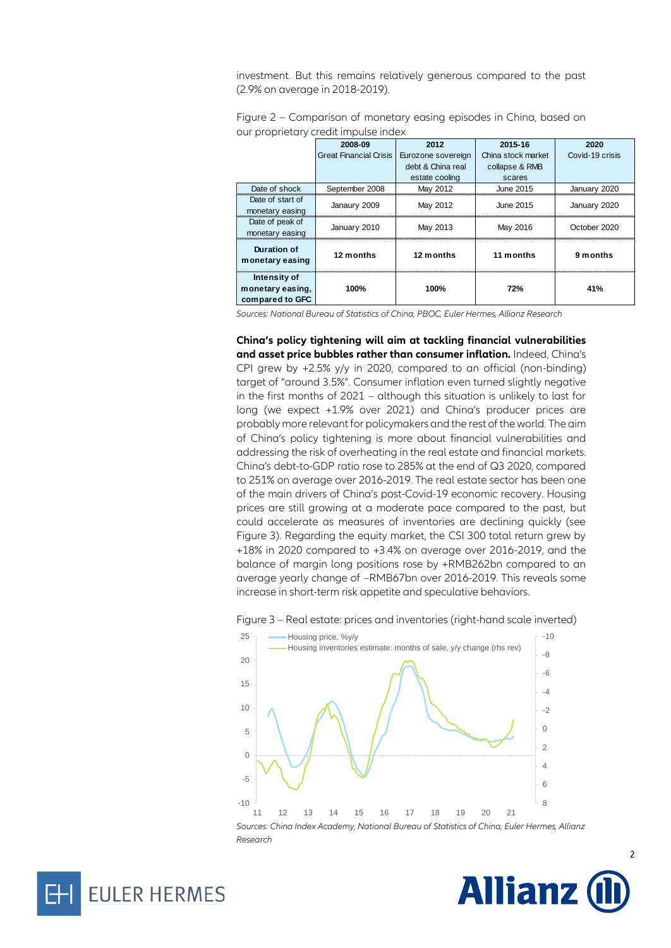investment. But this remains relatively generous compared to the past (2.9% on average in 2018-2019).

|                                                     | 2008-09                | 2012               | 2015-16            | 2020            |
|-----------------------------------------------------|------------------------|--------------------|--------------------|-----------------|
|                                                     | Great Financial Crisis | Eurozone sovereign | China stock market | Covid-19 crisis |
|                                                     |                        | debt & China real  | collapse & RMB     |                 |
|                                                     |                        | estate cooling     | scares             |                 |
| Date of shock                                       | September 2008         | May 2012           | June 2015          | January 2020    |
| Date of start of                                    | Janaury 2009           | May 2012           | June 2015          | January 2020    |
| monetary easing                                     |                        |                    |                    |                 |
| Date of peak of                                     | January 2010           | May 2013           | May 2016           | October 2020    |
| monetary easing                                     |                        |                    |                    |                 |
| Duration of<br>monetary easing                      | 12 months              | 12 months          | 11 months          | 9 months        |
| Intensity of<br>monetary easing.<br>compared to GFC | 100%                   | 100%               | 72%                | 41%             |

Figure 2 – Comparison of monetary easing episodes in China, based on our proprietary credit impulse index

*Sources: National Bureau of Statistics of China, PBOC, Euler Hermes, Allianz Research*

**China's policy tightening will aim at tackling financial vulnerabilities and asset price bubbles rather than consumer inflation.** Indeed, China's CPI grew by +2.5% y/y in 2020, compared to an official (non-binding) target of "around 3.5%". Consumer inflation even turned slightly negative in the first months of 2021 – although this situation is unlikely to last for long (we expect +1.9% over 2021) and China's producer prices are probably more relevant for policymakers and the rest of the world. The aim of China's policy tightening is more about financial vulnerabilities and addressing the risk of overheating in the real estate and financial markets. China's debt-to-GDP ratio rose to 285% at the end of Q3 2020, compared to 251% on average over 2016-2019. The real estate sector has been one of the main drivers of China's post-Covid-19 economic recovery. Housing prices are still growing at a moderate pace compared to the past, but could accelerate as measures of inventories are declining quickly (see Figure 3). Regarding the equity market, the CSI 300 total return grew by +18% in 2020 compared to +3.4% on average over 2016-2019, and the balance of margin long positions rose by +RMB262bn compared to an average yearly change of –RMB67bn over 2016-2019. This reveals some increase in short-term risk appetite and speculative behaviors.









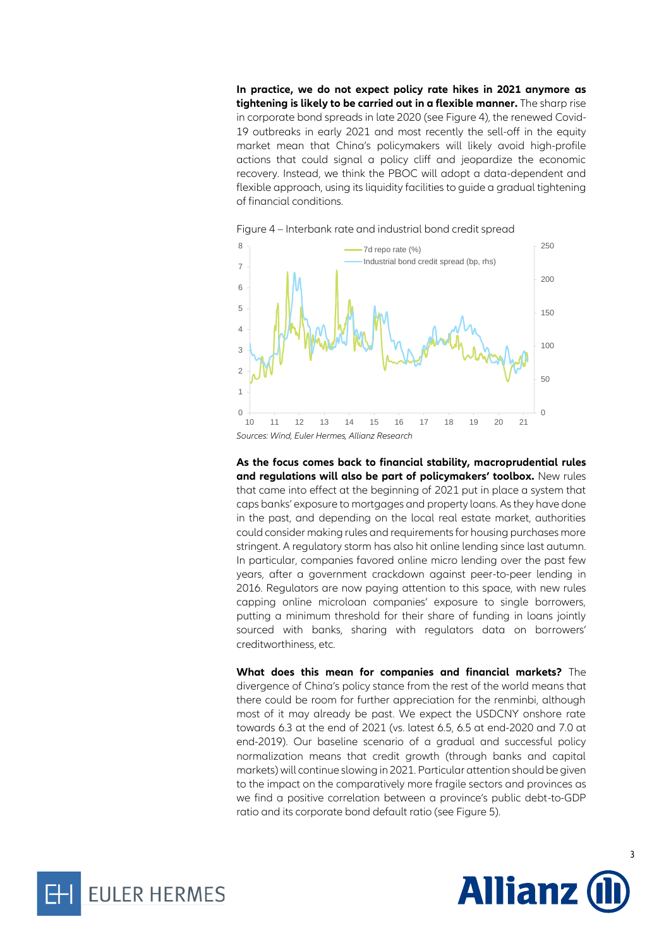**In practice, we do not expect policy rate hikes in 2021 anymore as tightening is likely to be carried out in a flexible manner.** The sharp rise in corporate bond spreads in late 2020 (see Figure 4), the renewed Covid-19 outbreaks in early 2021 and most recently the sell-off in the equity market mean that China's policymakers will likely avoid high-profile actions that could signal a policy cliff and jeopardize the economic recovery. Instead, we think the PBOC will adopt a data-dependent and flexible approach, using its liquidity facilities to guide a gradual tightening of financial conditions.





**As the focus comes back to financial stability, macroprudential rules and regulations will also be part of policymakers' toolbox.** New rules that came into effect at the beginning of 2021 put in place a system that caps banks' exposure to mortgages and property loans. As they have done in the past, and depending on the local real estate market, authorities could consider making rules and requirements for housing purchases more stringent. A regulatory storm has also hit online lending since last autumn. In particular, companies favored online micro lending over the past few years, after a government crackdown against peer-to-peer lending in 2016. Regulators are now paying attention to this space, with new rules capping online microloan companies' exposure to single borrowers, putting a minimum threshold for their share of funding in loans jointly sourced with banks, sharing with regulators data on borrowers' creditworthiness, etc.

**What does this mean for companies and financial markets?** The divergence of China's policy stance from the rest of the world means that there could be room for further appreciation for the renminbi, although most of it may already be past. We expect the USDCNY onshore rate towards 6.3 at the end of 2021 (vs. latest 6.5, 6.5 at end-2020 and 7.0 at end-2019). Our baseline scenario of a gradual and successful policy normalization means that credit growth (through banks and capital markets) will continue slowing in 2021. Particular attention should be given to the impact on the comparatively more fragile sectors and provinces as we find a positive correlation between a province's public debt-to-GDP ratio and its corporate bond default ratio (see Figure 5).



3

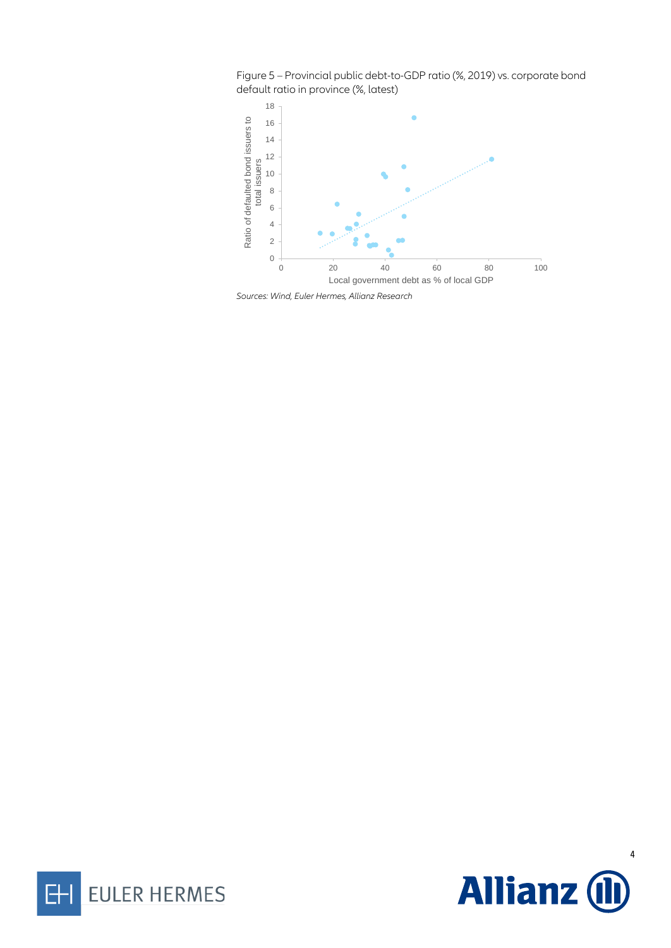Figure 5 – Provincial public debt-to-GDP ratio (%, 2019) vs. corporate bond default ratio in province (%, latest)



*Sources: Wind, Euler Hermes, Allianz Research*